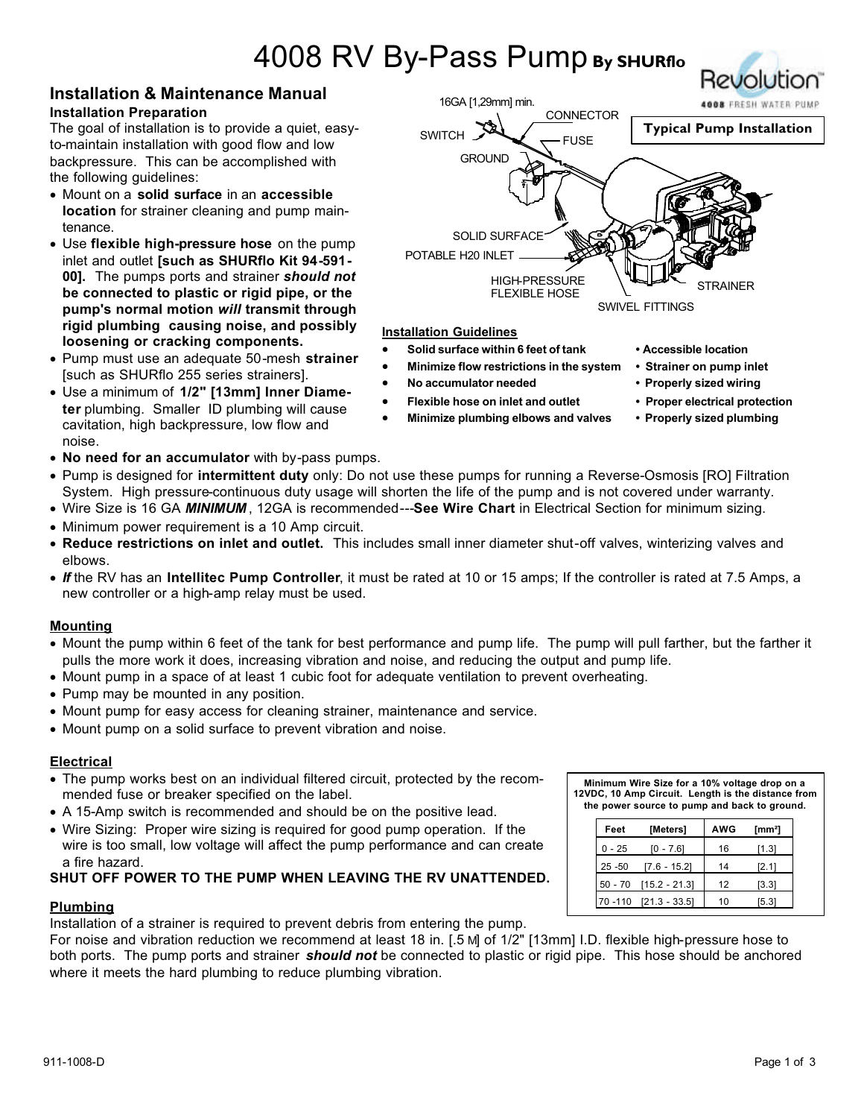# 4008 RV By-Pass Pump **By SHURflo**

## **Installation & Maintenance Manual Installation Preparation**

The goal of installation is to provide a quiet, easyto-maintain installation with good flow and low backpressure. This can be accomplished with the following guidelines:

- Mount on a **solid surface** in an **accessible location** for strainer cleaning and pump maintenance.
- Use **flexible high-pressure hose** on the pump inlet and outlet **[such as SHURflo Kit 94-591- 00].** The pumps ports and strainer *should not* **be connected to plastic or rigid pipe, or the pump's normal motion** *will* **transmit through rigid plumbing causing noise, and possibly loosening or cracking components.**
- Pump must use an adequate 50-mesh **strainer** [such as SHURflo 255 series strainers].
- Use a minimum of **1/2" [13mm] Inner Diameter** plumbing. Smaller ID plumbing will cause cavitation, high backpressure, low flow and noise.
- **No need for an accumulator** with by-pass pumps.
- Pump is designed for **intermittent duty** only: Do not use these pumps for running a Reverse-Osmosis [RO] Filtration System. High pressure-continuous duty usage will shorten the life of the pump and is not covered under warranty.
- Wire Size is 16 GA *MINIMUM* , 12GA is recommended---**See Wire Chart** in Electrical Section for minimum sizing.
- Minimum power requirement is a 10 Amp circuit.
- **Reduce restrictions on inlet and outlet.** This includes small inner diameter shut-off valves, winterizing valves and elbows.
- *If* the RV has an **Intellitec Pump Controller**, it must be rated at 10 or 15 amps; If the controller is rated at 7.5 Amps, a new controller or a high-amp relay must be used.

# **Mounting**

- Mount the pump within 6 feet of the tank for best performance and pump life. The pump will pull farther, but the farther it pulls the more work it does, increasing vibration and noise, and reducing the output and pump life.
- Mount pump in a space of at least 1 cubic foot for adequate ventilation to prevent overheating.
- Pump may be mounted in any position.
- Mount pump for easy access for cleaning strainer, maintenance and service.
- Mount pump on a solid surface to prevent vibration and noise.

# **Electrical**

- The pump works best on an individual filtered circuit, protected by the recommended fuse or breaker specified on the label.
- A 15-Amp switch is recommended and should be on the positive lead.
- Wire Sizing: Proper wire sizing is required for good pump operation. If the wire is too small, low voltage will affect the pump performance and can create a fire hazard.

# **SHUT OFF POWER TO THE PUMP WHEN LEAVING THE RV UNATTENDED.**

# **Plumbing**

Installation of a strainer is required to prevent debris from entering the pump.

For noise and vibration reduction we recommend at least 18 in. [.5 M] of 1/2" [13mm] I.D. flexible high-pressure hose to both ports. The pump ports and strainer *should not* be connected to plastic or rigid pipe. This hose should be anchored where it meets the hard plumbing to reduce plumbing vibration.



# **Installation Guidelines**

- **Solid surface within 6 feet of tank Accessible location**
- **Minimize flow restrictions in the system Strainer on pump inlet**
- **No accumulator needed Properly sized wiring**
- **Flexible hose on inlet and outlet Proper electrical protection**
	- **Minimize plumbing elbows and valves Properly sized plumbing**
- 
- 
- 
- 

Revolution

**Minimum Wire Size for a 10% voltage drop on a 12VDC, 10 Amp Circuit. Length is the distance from the power source to pump and back to ground.**

| Feet      | [Meters]        | <b>AWG</b> | $\text{Im}\,\text{m}^2$ |
|-----------|-----------------|------------|-------------------------|
| $0 - 25$  | [0 - 7.6]       | 16         | [1.3]                   |
| $25 - 50$ | $[7.6 - 15.2]$  | 14         | [2.1]                   |
| $50 - 70$ | $[15.2 - 21.3]$ | 12         | [3.3]                   |
| 70 - 110  | $[21.3 - 33.5]$ | 10         | [5.3]                   |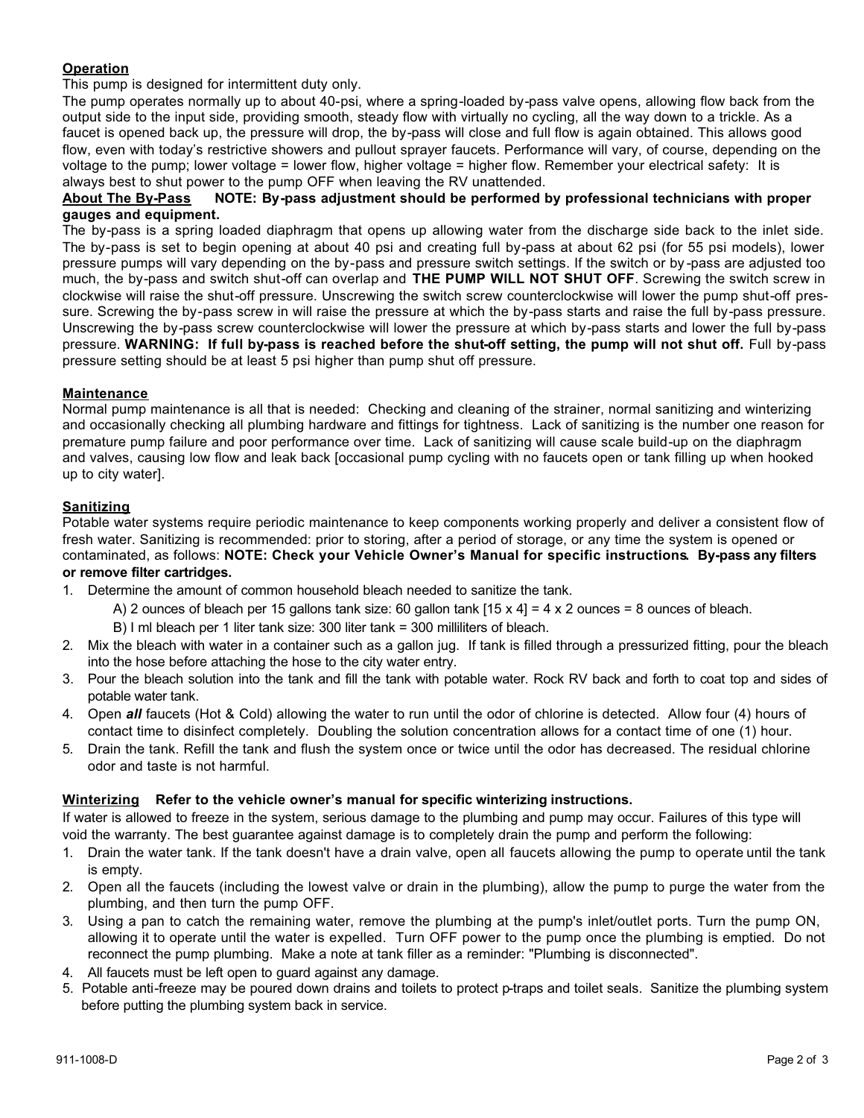# **Operation**

This pump is designed for intermittent duty only.

The pump operates normally up to about 40-psi, where a spring-loaded by-pass valve opens, allowing flow back from the output side to the input side, providing smooth, steady flow with virtually no cycling, all the way down to a trickle. As a faucet is opened back up, the pressure will drop, the by-pass will close and full flow is again obtained. This allows good flow, even with today's restrictive showers and pullout sprayer faucets. Performance will vary, of course, depending on the voltage to the pump; lower voltage = lower flow, higher voltage = higher flow. Remember your electrical safety: It is always best to shut power to the pump OFF when leaving the RV unattended.

## **About The By-Pass NOTE: By-pass adjustment should be performed by professional technicians with proper gauges and equipment.**

The by-pass is a spring loaded diaphragm that opens up allowing water from the discharge side back to the inlet side. The by-pass is set to begin opening at about 40 psi and creating full by-pass at about 62 psi (for 55 psi models), lower pressure pumps will vary depending on the by-pass and pressure switch settings. If the switch or by -pass are adjusted too much, the by-pass and switch shut-off can overlap and **THE PUMP WILL NOT SHUT OFF**. Screwing the switch screw in clockwise will raise the shut-off pressure. Unscrewing the switch screw counterclockwise will lower the pump shut-off pressure. Screwing the by-pass screw in will raise the pressure at which the by-pass starts and raise the full by-pass pressure. Unscrewing the by-pass screw counterclockwise will lower the pressure at which by-pass starts and lower the full by-pass pressure. **WARNING: If full by-pass is reached before the shut-off setting, the pump will not shut off.** Full by-pass pressure setting should be at least 5 psi higher than pump shut off pressure.

# **Maintenance**

Normal pump maintenance is all that is needed: Checking and cleaning of the strainer, normal sanitizing and winterizing and occasionally checking all plumbing hardware and fittings for tightness. Lack of sanitizing is the number one reason for premature pump failure and poor performance over time. Lack of sanitizing will cause scale build-up on the diaphragm and valves, causing low flow and leak back [occasional pump cycling with no faucets open or tank filling up when hooked up to city water].

## **Sanitizing**

Potable water systems require periodic maintenance to keep components working properly and deliver a consistent flow of fresh water. Sanitizing is recommended: prior to storing, after a period of storage, or any time the system is opened or contaminated, as follows: **NOTE: Check your Vehicle Owner's Manual for specific instructions. By-pass any filters or remove filter cartridges.**

1. Determine the amount of common household bleach needed to sanitize the tank.

A) 2 ounces of bleach per 15 gallons tank size: 60 gallon tank  $[15 \times 4] = 4 \times 2$  ounces = 8 ounces of bleach.

- B) I ml bleach per 1 liter tank size: 300 liter tank = 300 milliliters of bleach.
- 2. Mix the bleach with water in a container such as a gallon jug. If tank is filled through a pressurized fitting, pour the bleach into the hose before attaching the hose to the city water entry.
- 3. Pour the bleach solution into the tank and fill the tank with potable water. Rock RV back and forth to coat top and sides of potable water tank.
- 4. Open *all* faucets (Hot & Cold) allowing the water to run until the odor of chlorine is detected. Allow four (4) hours of contact time to disinfect completely. Doubling the solution concentration allows for a contact time of one (1) hour.
- 5. Drain the tank. Refill the tank and flush the system once or twice until the odor has decreased. The residual chlorine odor and taste is not harmful.

# **Winterizing Refer to the vehicle owner's manual for specific winterizing instructions.**

If water is allowed to freeze in the system, serious damage to the plumbing and pump may occur. Failures of this type will void the warranty. The best guarantee against damage is to completely drain the pump and perform the following:

- 1. Drain the water tank. If the tank doesn't have a drain valve, open all faucets allowing the pump to operate until the tank is empty.
- 2. Open all the faucets (including the lowest valve or drain in the plumbing), allow the pump to purge the water from the plumbing, and then turn the pump OFF.
- 3. Using a pan to catch the remaining water, remove the plumbing at the pump's inlet/outlet ports. Turn the pump ON, allowing it to operate until the water is expelled. Turn OFF power to the pump once the plumbing is emptied. Do not reconnect the pump plumbing. Make a note at tank filler as a reminder: "Plumbing is disconnected".
- 4. All faucets must be left open to guard against any damage.
- 5. Potable anti-freeze may be poured down drains and toilets to protect p-traps and toilet seals. Sanitize the plumbing system before putting the plumbing system back in service.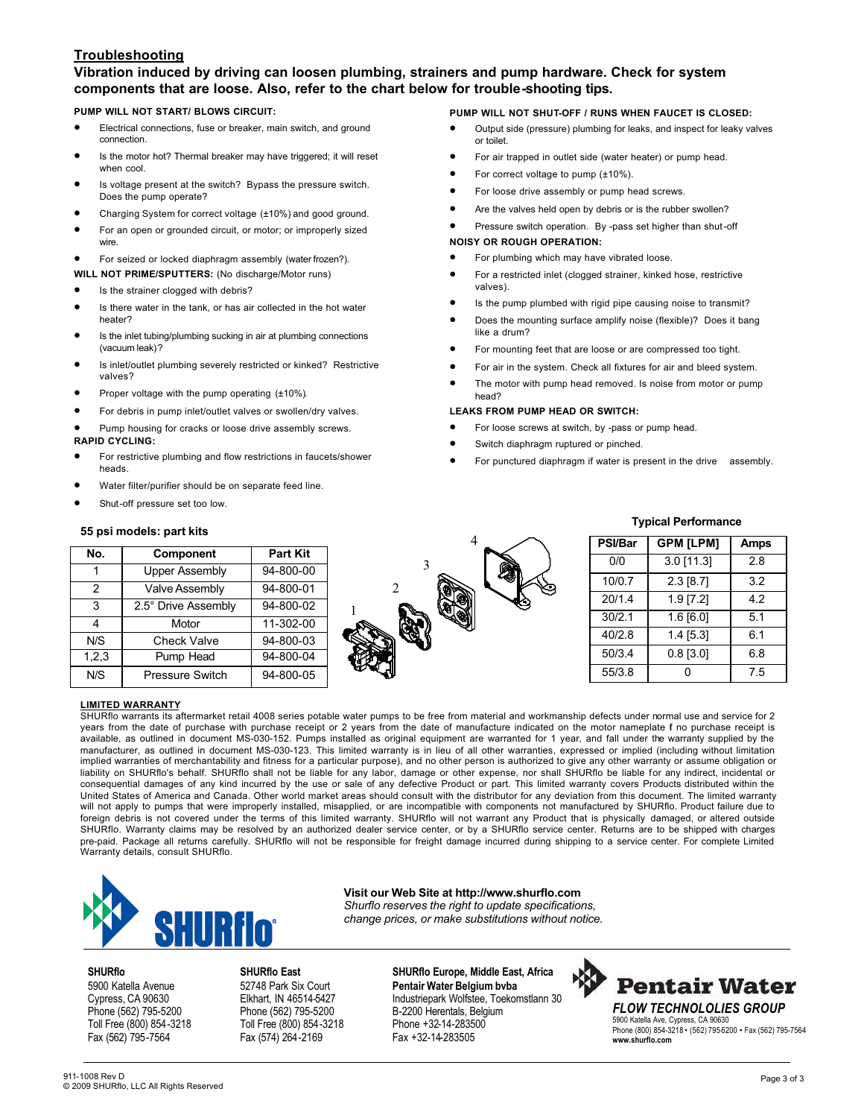## **Troubleshooting**

## **Vibration induced by driving can loosen plumbing, strainers and pump hardware. Check for system components that are loose. Also, refer to the chart below for trouble-shooting tips.**

#### **PUMP WILL NOT START/ BLOWS CIRCUIT:**

- Electrical connections, fuse or breaker, main switch, and ground connection.
- Is the motor hot? Thermal breaker may have triggered; it will reset when cool.
- Is voltage present at the switch? Bypass the pressure switch. Does the pump operate?
- Charging System for correct voltage (±10%) and good ground.
- For an open or grounded circuit, or motor; or improperly sized wire.
- For seized or locked diaphragm assembly (water frozen?).
- **WILL NOT PRIME/SPUTTERS:** (No discharge/Motor runs)
- Is the strainer clogged with debris?
- Is there water in the tank, or has air collected in the hot water heater?
- Is the inlet tubing/plumbing sucking in air at plumbing connections (vacuum leak)?
- Is inlet/outlet plumbing severely restricted or kinked? Restrictive valves?
- Proper voltage with the pump operating (±10%).
- For debris in pump inlet/outlet valves or swollen/dry valves.
- Pump housing for cracks or loose drive assembly screws. **RAPID CYCLING:**
- For restrictive plumbing and flow restrictions in faucets/shower heads.
- Water filter/purifier should be on separate feed line.
- Shut-off pressure set too low.

#### **PUMP WILL NOT SHUT-OFF / RUNS WHEN FAUCET IS CLOSED:**

- Output side (pressure) plumbing for leaks, and inspect for leaky valves or toilet.
- For air trapped in outlet side (water heater) or pump head.
- For correct voltage to pump  $(\pm 10\%)$ .
- For loose drive assembly or pump head screws.
- Are the valves held open by debris or is the rubber swollen?
- Pressure switch operation. By -pass set higher than shut-off

#### **NOISY OR ROUGH OPERATION:**

- For plumbing which may have vibrated loose.
- For a restricted inlet (clogged strainer, kinked hose, restrictive valves).
- Is the pump plumbed with rigid pipe causing noise to transmit?
- Does the mounting surface amplify noise (flexible)? Does it bang like a drum?
- For mounting feet that are loose or are compressed too tight.
- For air in the system. Check all fixtures for air and bleed system.
- The motor with pump head removed. Is noise from motor or pump head?

#### **LEAKS FROM PUMP HEAD OR SWITCH:**

- For loose screws at switch, by -pass or pump head.
- Switch diaphragm ruptured or pinched.
- For punctured diaphragm if water is present in the drive assembly.

#### **55 psi models: part kits**

| No.   | Component              | <b>Part Kit</b> |
|-------|------------------------|-----------------|
| 1     | <b>Upper Assembly</b>  | 94-800-00       |
| 2     | <b>Valve Assembly</b>  | 94-800-01       |
| 3     | 2.5° Drive Assembly    | 94-800-02       |
| 4     | Motor                  | 11-302-00       |
| N/S   | <b>Check Valve</b>     | 94-800-03       |
| 1,2,3 | Pump Head              | 94-800-04       |
| N/S   | <b>Pressure Switch</b> | 94-800-05       |



## **Typical Performance**

| PSI/Bar | <b>GPM [LPM]</b> | <b>Amps</b> |  |  |
|---------|------------------|-------------|--|--|
| 0/0     | 3.0 [11.3]       | 2.8         |  |  |
| 10/0.7  | 2.3 [8.7]        | 3.2         |  |  |
| 20/1.4  | 1.9 [7.2]        | 4.2         |  |  |
| 30/2.1  | 1.6 [6.0]        | 5.1         |  |  |
| 40/2.8  | 1.4 [5.3]        | 6.1         |  |  |
| 50/3.4  | $0.8$ [3.0]      | 6.8         |  |  |
| 55/3.8  |                  | 7.5         |  |  |

#### **LIMITED WARRANTY**

SHURflo warrants its aftermarket retail 4008 series potable water pumps to be free from material and workmanship defects under normal use and service for 2 years from the date of purchase with purchase receipt or 2 years from the date of manufacture indicated on the motor nameplate f no purchase receipt is available, as outlined in document MS-030-152. Pumps installed as original equipment are warranted for 1 year, and fall under the warranty supplied by the manufacturer, as outlined in document MS-030-123. This limited warranty is in lieu of all other warranties, expressed or implied (including without limitation implied warranties of merchantability and fitness for a particular purpose), and no other person is authorized to give any other warranty or assume obligation or liability on SHURflo's behalf. SHURflo shall not be liable for any labor, damage or other expense, nor shall SHURflo be liable for any indirect, incidental or consequential damages of any kind incurred by the use or sale of any defective Product or part. This limited warranty covers Products distributed within the United States of America and Canada. Other world market areas should consult with the distributor for any deviation from this document. The limited warranty will not apply to pumps that were improperly installed, misapplied, or are incompatible with components not manufactured by SHURflo. Product failure due to foreign debris is not covered under the terms of this limited warranty. SHURflo will not warrant any Product that is physically damaged, or altered outside SHURflo. Warranty claims may be resolved by an authorized dealer service center, or by a SHURflo service center. Returns are to be shipped with charges pre-paid. Package all returns carefully. SHURflo will not be responsible for freight damage incurred during shipping to a service center. For complete Limited Warranty details, consult SHURflo.



**Visit our Web Site at http://www.shurflo.com** *Shurflo reserves the right to update specifications, change prices, or make substitutions without notice.*

Toll Free (800) 854-3218 Fax (562) 795-7564 Fax (574) 264-2169 Fax +32-14-283505

**SHURflo SHURflo East SHURflo Europe, Middle East, Africa**  5900 Katella Avenue 52748 Park Six Court **Pentair Water Belgium bvba** Cypress, CA 90630 Elkhart, IN 46514-5427 Industriepark Wolfstee, Toekomstlann 30<br>
Phone (562) 795-5200 Phone (562) 795-5200 B-2200 Herentals, Belgium Phone (562) 795-5200 Phone (562) 795-5200 B-2200 Herentals, Belgium<br>
Toll Free (800) 854-3218 Phone +32-14-283500



5900 Katella Ave, Cypress, CA 90630 Phone (800) 854-3218 • (562) 795-5200 • Fax (562) 795-7564 **www.shurflo.com**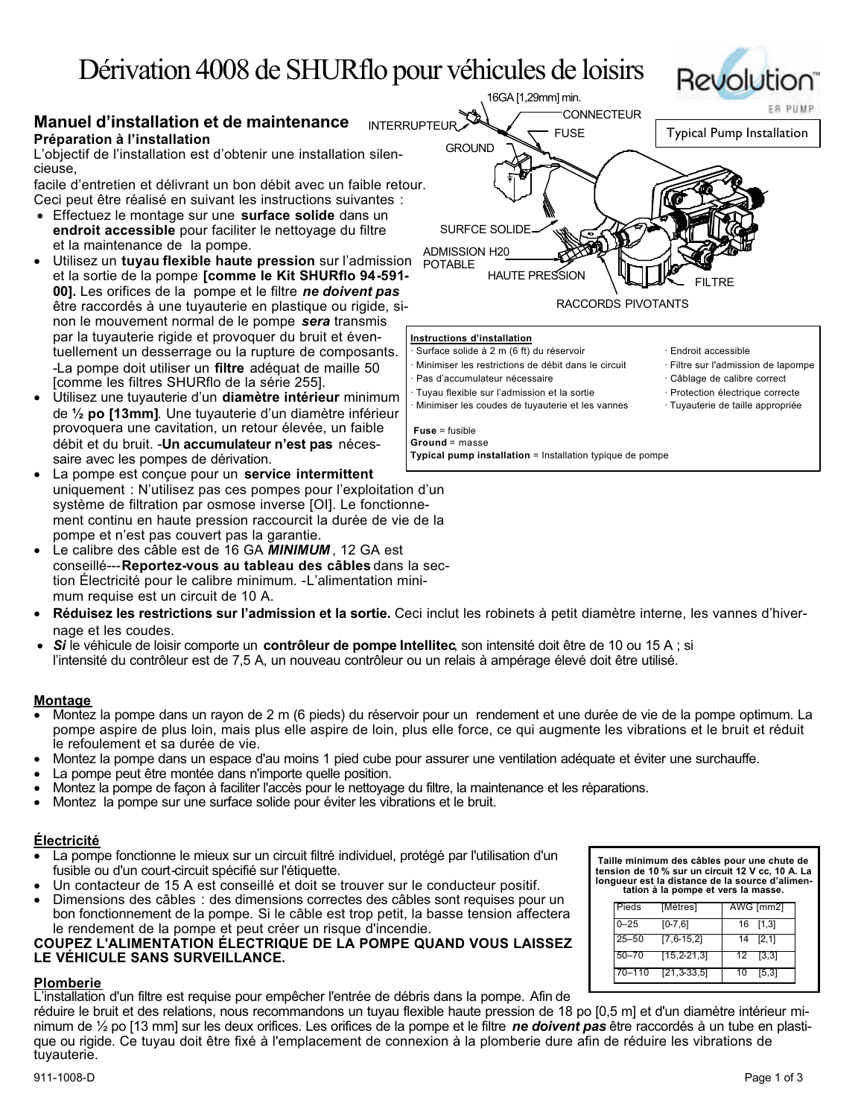# Dérivation 4008 de SHURflo pour véhicules de loisirs

# **Manuel d'installation et de maintenance Préparation à l'installation**

L'objectif de l'installation est d'obtenir une installation silencieuse,

facile d'entretien et délivrant un bon débit avec un faible retour. Ceci peut être réalisé en suivant les instructions suivantes :

- Effectuez le montage sur une **surface solide** dans un **endroit accessible** pour faciliter le nettoyage du filtre et la maintenance de la pompe.
- Utilisez un **tuyau flexible haute pression** sur l'admission et la sortie de la pompe **[comme le Kit SHURflo 94-591- 00].** Les orifices de la pompe et le filtre *ne doivent pas*  être raccordés à une tuyauterie en plastique ou rigide, sinon le mouvement normal de le pompe *sera* transmis par la tuyauterie rigide et provoquer du bruit et éventuellement un desserrage ou la rupture de composants. -La pompe doit utiliser un **filtre** adéquat de maille 50 [comme les filtres SHURflo de la série 255].
- Utilisez une tuyauterie d'un **diamètre intérieur** minimum de **½ po [13mm]**. Une tuyauterie d'un diamètre inférieur provoquera une cavitation, un retour élevée, un faible débit et du bruit. -**Un accumulateur n'est pas** nécessaire avec les pompes de dérivation.
- La pompe est conçue pour un **service intermittent** uniquement : N'utilisez pas ces pompes pour l'exploitation d'un système de filtration par osmose inverse [OI]. Le fonctionnement continu en haute pression raccourcit la durée de vie de la pompe et n'est pas couvert pas la garantie.
- Le calibre des câble est de 16 GA **MINIMUM**, 12 GA est conseillé---**Reportez-vous au tableau des câbles** dans la section Électricité pour le calibre minimum. -L'alimentation minimum requise est un circuit de 10 A.
- **Réduisez les restrictions sur l'admission et la sortie.** Ceci inclut les robinets à petit diamètre interne, les vannes d'hivernage et les coudes.

**Fuse** = fusible **Ground** = masse

- *Si* le véhicule de loisir comporte un **contrôleur de pompe Intellitec**, son intensité doit être de 10 ou 15 A ; si
- l'intensité du contrôleur est de 7,5 A, un nouveau contrôleur ou un relais à ampérage élevé doit être utilisé.

## **Montage**

- Montez la pompe dans un rayon de 2 m (6 pieds) du réservoir pour un rendement et une durée de vie de la pompe optimum. La pompe aspire de plus loin, mais plus elle aspire de loin, plus elle force, ce qui augmente les vibrations et le bruit et réduit le refoulement et sa durée de vie.
- Montez la pompe dans un espace d'au moins 1 pied cube pour assurer une ventilation adéquate et éviter une surchauffe.
- La pompe peut être montée dans n'importe quelle position.
- Montez la pompe de façon à faciliter l'accès pour le nettoyage du filtre, la maintenance et les réparations.
- Montez la pompe sur une surface solide pour éviter les vibrations et le bruit.

## **Électricité**

- La pompe fonctionne le mieux sur un circuit filtré individuel, protégé par l'utilisation d'un fusible ou d'un court-circuit spécifié sur l'étiquette.
- Un contacteur de 15 A est conseillé et doit se trouver sur le conducteur positif.
- Dimensions des câbles : des dimensions correctes des câbles sont requises pour un bon fonctionnement de la pompe. Si le câble est trop petit, la basse tension affectera le rendement de la pompe et peut créer un risque d'incendie.

## **COUPEZ L'ALIMENTATION ÉLECTRIQUE DE LA POMPE QUAND VOUS LAISSEZ LE VÉHICULE SANS SURVEILLANCE.**

## **Plomberie**

L'installation d'un filtre est requise pour empêcher l'entrée de débris dans la pompe. Afin de

réduire le bruit et des relations, nous recommandons un tuyau flexible haute pression de 18 po [0,5 m] et d'un diamètre intérieur minimum de ½ po [13 mm] sur les deux orifices. Les orifices de la pompe et le filtre *ne doivent pas* être raccordés à un tube en plastique ou rigide. Ce tuyau doit être fixé à l'emplacement de connexion à la plomberie dure afin de réduire les vibrations de tuyauterie.





**Typical pump installation** = Installation typique de pompe

- 
- · Tuyau flexible sur l'admission et la sortie · Protection électrique correcte
- Minimiser les coudes de tuyauterie et les vannes · Tuyauterie de taille appropriée

**Taille minimum des câbles pour une chute de tension de 10 % sur un circuit 12 V cc, 10 A. La longueur est la distance de la source d'alimentation à la pompe et vers la masse.**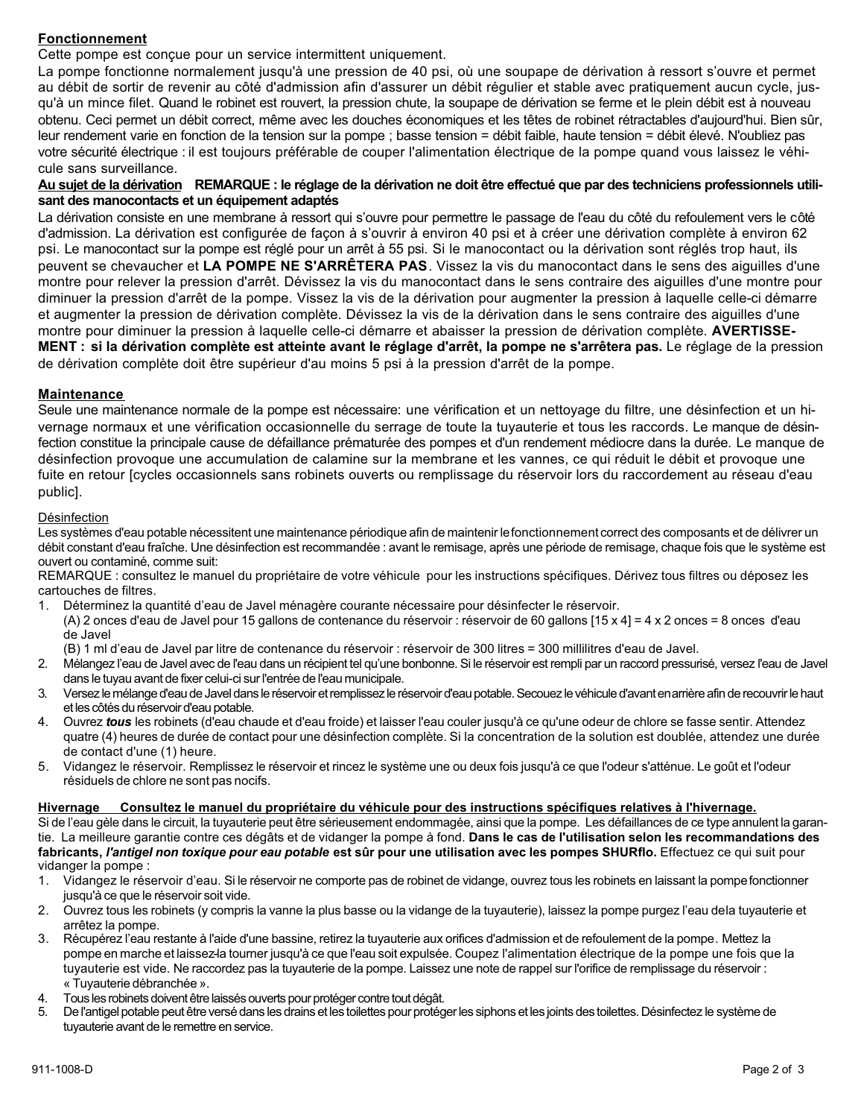# **Fonctionnement**

Cette pompe est conçue pour un service intermittent uniquement.

La pompe fonctionne normalement jusqu'à une pression de 40 psi, où une soupape de dérivation à ressort s'ouvre et permet au débit de sortir de revenir au côté d'admission afin d'assurer un débit régulier et stable avec pratiquement aucun cycle, jusqu'à un mince filet. Quand le robinet est rouvert, la pression chute, la soupape de dérivation se ferme et le plein débit est à nouveau obtenu. Ceci permet un débit correct, même avec les douches économiques et les têtes de robinet rétractables d'aujourd'hui. Bien sûr, leur rendement varie en fonction de la tension sur la pompe ; basse tension = débit faible, haute tension = débit élevé. N'oubliez pas votre sécurité électrique : il est toujours préférable de couper l'alimentation électrique de la pompe quand vous laissez le véhicule sans surveillance.

## Au sujet de la dérivation REMARQUE : le réglage de la dérivation ne doit être effectué que par des techniciens professionnels utili**sant des manocontacts et un équipement adaptés**

La dérivation consiste en une membrane à ressort qui s'ouvre pour permettre le passage de l'eau du côté du refoulement vers le côté d'admission. La dérivation est configurée de façon à s'ouvrir à environ 40 psi et à créer une dérivation complète à environ 62 psi. Le manocontact sur la pompe est réglé pour un arrêt à 55 psi. Si le manocontact ou la dérivation sont réglés trop haut, ils peuvent se chevaucher et **LA POMPE NE S'ARRÊTERA PAS**. Vissez la vis du manocontact dans le sens des aiguilles d'une montre pour relever la pression d'arrêt. Dévissez la vis du manocontact dans le sens contraire des aiguilles d'une montre pour diminuer la pression d'arrêt de la pompe. Vissez la vis de la dérivation pour augmenter la pression à laquelle celle-ci démarre et augmenter la pression de dérivation complète. Dévissez la vis de la dérivation dans le sens contraire des aiguilles d'une montre pour diminuer la pression à laquelle celle-ci démarre et abaisser la pression de dérivation complète. **AVERTISSE-MENT : si la dérivation complète est atteinte avant le réglage d'arrêt, la pompe ne s'arrêtera pas.** Le réglage de la pression de dérivation complète doit être supérieur d'au moins 5 psi à la pression d'arrêt de la pompe.

## **Maintenance**

Seule une maintenance normale de la pompe est nécessaire: une vérification et un nettoyage du filtre, une désinfection et un hivernage normaux et une vérification occasionnelle du serrage de toute la tuyauterie et tous les raccords. Le manque de désinfection constitue la principale cause de défaillance prématurée des pompes et d'un rendement médiocre dans la durée. Le manque de désinfection provoque une accumulation de calamine sur la membrane et les vannes, ce qui réduit le débit et provoque une fuite en retour [cycles occasionnels sans robinets ouverts ou remplissage du réservoir lors du raccordement au réseau d'eau public].

## Désinfection

Les systèmes d'eau potable nécessitent une maintenance périodique afin de maintenir le fonctionnement correct des composants et de délivrer un débit constant d'eau fraîche. Une désinfection est recommandée : avant le remisage, après une période de remisage, chaque fois que le système est ouvert ou contaminé, comme suit:

REMARQUE : consultez le manuel du propriétaire de votre véhicule pour les instructions spécifiques. Dérivez tous filtres ou déposez les cartouches de filtres.

- 1. Déterminez la quantité d'eau de Javel ménagère courante nécessaire pour désinfecter le réservoir.
- (A) 2 onces d'eau de Javel pour 15 gallons de contenance du réservoir : réservoir de 60 gallons [15 x 4] = 4 x 2 onces = 8 onces d'eau de Javel
- (B) 1 ml d'eau de Javel par litre de contenance du réservoir : réservoir de 300 litres = 300 millilitres d'eau de Javel.
- 2. Mélangez l'eau de Javel avec de l'eau dans un récipient tel qu'une bonbonne. Si le réservoir est rempli par un raccord pressurisé, versez l'eau de Javel dans le tuyau avant de fixer celui-ci sur l'entrée de l'eau municipale.
- 3. Versez le mélange d'eau de Javel dans le réservoir et remplissez le réservoir d'eau potable. Secouez le véhicule d'avant en arrière afin de recouvrir le haut et les côtés du réservoir d'eau potable.
- 4. Ouvrez *tous* les robinets (d'eau chaude et d'eau froide) et laisser l'eau couler jusqu'à ce qu'une odeur de chlore se fasse sentir. Attendez quatre (4) heures de durée de contact pour une désinfection complète. Si la concentration de la solution est doublée, attendez une durée de contact d'une (1) heure.
- 5. Vidangez le réservoir. Remplissez le réservoir et rincez le système une ou deux fois jusqu'à ce que l'odeur s'atténue. Le goût et l'odeur résiduels de chlore ne sont pas nocifs.

## **Hivernage Consultez le manuel du propriétaire du véhicule pour des instructions spécifiques relatives à l'hivernage.**

Si de l'eau gèle dans le circuit, la tuyauterie peut être sérieusement endommagée, ainsi que la pompe. Les défaillances de ce type annulent la garantie. La meilleure garantie contre ces dégâts et de vidanger la pompe à fond. **Dans le cas de l'utilisation selon les recommandations des fabricants,** *l'antigel non toxique pour eau potable* **est sûr pour une utilisation avec les pompes SHURflo.** Effectuez ce qui suit pour vidanger la pompe :

- 1. Vidangez le réservoir d'eau. Si le réservoir ne comporte pas de robinet de vidange, ouvrez tous les robinets en laissant la pompe fonctionner jusqu'à ce que le réservoir soit vide.
- 2. Ouvrez tous les robinets (y compris la vanne la plus basse ou la vidange de la tuyauterie), laissez la pompe purgez l'eau dela tuyauterie et arrêtez la pompe.
- 3. Récupérez l'eau restante à l'aide d'une bassine, retirez la tuyauterie aux orifices d'admission et de refoulement de la pompe. Mettez la pompe en marche et laissez-la tourner jusqu'à ce que l'eau soit expulsée. Coupez l'alimentation électrique de la pompe une fois que la tuyauterie est vide. Ne raccordez pas la tuyauterie de la pompe. Laissez une note de rappel sur l'orifice de remplissage du réservoir : « Tuyauterie débranchée ».
- 4. Tous les robinets doivent être laissés ouverts pour protéger contre tout dégât.<br>5. De l'antigel potable peut être versé dans les drains et les toilettes pour protéd
- 5. De l'antigel potable peut être versé dans les drains et les toilettes pour protéger les siphons et les joints des toilettes. Désinfectez le système de tuyauterie avant de le remettre en service.